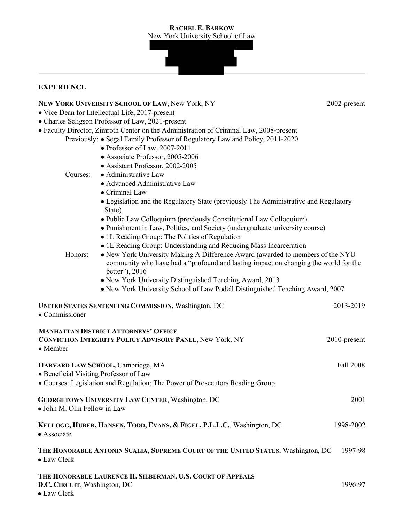#### **RACHEL E. BARKOW** New York University School of Law

## **EXPERIENCE**

#### **NEW YORK UNIVERSITY SCHOOL OF LAW, New York, NY 2002-present 2002-present**

- Vice Dean for Intellectual Life, 2017-present
- Charles Seligson Professor of Law, 2021-present
- Faculty Director, Zimroth Center on the Administration of Criminal Law, 2008-present
	- Previously: Segal Family Professor of Regulatory Law and Policy, 2011-2020
		- Professor of Law, 2007-2011
		- Associate Professor, 2005-2006
		- Assistant Professor, 2002-2005
		- Courses: Administrative Law
			- Advanced Administrative Law
			- Criminal Law
			- Legislation and the Regulatory State (previously The Administrative and Regulatory State)
			- Public Law Colloquium (previously Constitutional Law Colloquium)
			- Punishment in Law, Politics, and Society (undergraduate university course)
			- 1L Reading Group: The Politics of Regulation
			- 1L Reading Group: Understanding and Reducing Mass Incarceration

Honors: • New York University Making A Difference Award (awarded to members of the NYU community who have had a "profound and lasting impact on changing the world for the better"), 2016

- New York University Distinguished Teaching Award, 2013
- New York University School of Law Podell Distinguished Teaching Award, 2007

| <b>UNITED STATES SENTENCING COMMISSION, Washington, DC</b><br>• Commissioner                                                                                 | 2013-2019       |
|--------------------------------------------------------------------------------------------------------------------------------------------------------------|-----------------|
| <b>MANHATTAN DISTRICT ATTORNEYS' OFFICE,</b><br>CONVICTION INTEGRITY POLICY ADVISORY PANEL, New York, NY<br>• Member                                         | $2010$ -present |
| HARVARD LAW SCHOOL, Cambridge, MA<br>• Beneficial Visiting Professor of Law<br>• Courses: Legislation and Regulation; The Power of Prosecutors Reading Group | Fall 2008       |
| <b>GEORGETOWN UNIVERSITY LAW CENTER, Washington, DC</b><br>• John M. Olin Fellow in Law                                                                      | 2001            |
| KELLOGG, HUBER, HANSEN, TODD, EVANS, & FIGEL, P.L.L.C., Washington, DC<br>• Associate                                                                        | 1998-2002       |
| THE HONORABLE ANTONIN SCALIA, SUPREME COURT OF THE UNITED STATES, Washington, DC<br>• Law Clerk                                                              | 1997-98         |
| THE HONORABLE LAURENCE H. SILBERMAN, U.S. COURT OF APPEALS<br>D.C. CIRCUIT, Washington, DC                                                                   | 1996-97         |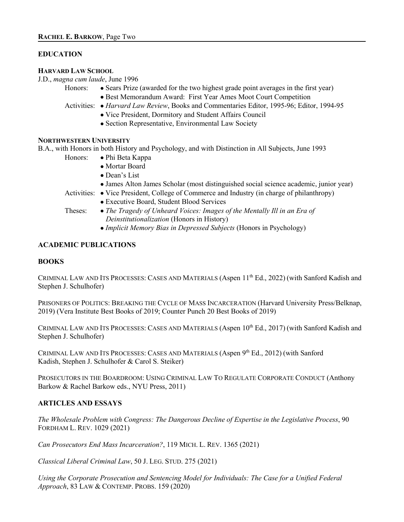#### **EDUCATION**

#### **HARVARD LAW SCHOOL**

J.D., *magna cum laude*, June 1996

- 
- Honors: Sears Prize (awarded for the two highest grade point averages in the first year) • Best Memorandum Award: First Year Ames Moot Court Competition
- Activities: *Harvard Law Review*, Books and Commentaries Editor, 1995-96; Editor, 1994-95
	- Vice President, Dormitory and Student Affairs Council
	- Section Representative, Environmental Law Society

### **NORTHWESTERN UNIVERSITY**

B.A., with Honors in both History and Psychology, and with Distinction in All Subjects, June 1993

- Honors: Phi Beta Kappa
	- Mortar Board
	- Dean's List
	- James Alton James Scholar (most distinguished social science academic, junior year)
- Activities: Vice President, College of Commerce and Industry (in charge of philanthropy)
	- Executive Board, Student Blood Services
- 
- Theses: *The Tragedy of Unheard Voices: Images of the Mentally Ill in an Era of Deinstitutionalization* (Honors in History)
	- *Implicit Memory Bias in Depressed Subjects* (Honors in Psychology)

# **ACADEMIC PUBLICATIONS**

## **BOOKS**

CRIMINAL LAW AND ITS PROCESSES: CASES AND MATERIALS (Aspen 11<sup>th</sup> Ed., 2022) (with Sanford Kadish and Stephen J. Schulhofer)

PRISONERS OF POLITICS: BREAKING THE CYCLE OF MASS INCARCERATION (Harvard University Press/Belknap, 2019) (Vera Institute Best Books of 2019; Counter Punch 20 Best Books of 2019)

CRIMINAL LAW AND ITS PROCESSES: CASES AND MATERIALS (Aspen 10<sup>th</sup> Ed., 2017) (with Sanford Kadish and Stephen J. Schulhofer)

CRIMINAL LAW AND ITS PROCESSES: CASES AND MATERIALS (Aspen 9<sup>th</sup> Ed., 2012) (with Sanford Kadish, Stephen J. Schulhofer & Carol S. Steiker)

PROSECUTORS IN THE BOARDROOM: USING CRIMINAL LAW TO REGULATE CORPORATE CONDUCT (Anthony Barkow & Rachel Barkow eds., NYU Press, 2011)

## **ARTICLES AND ESSAYS**

*The Wholesale Problem with Congress: The Dangerous Decline of Expertise in the Legislative Process*, 90 FORDHAM L. REV. 1029 (2021)

*Can Prosecutors End Mass Incarceration?*, 119 MICH. L. REV. 1365 (2021)

*Classical Liberal Criminal Law*, 50 J. LEG. STUD. 275 (2021)

*Using the Corporate Prosecution and Sentencing Model for Individuals: The Case for a Unified Federal Approach*, 83 LAW & CONTEMP. PROBS. 159 (2020)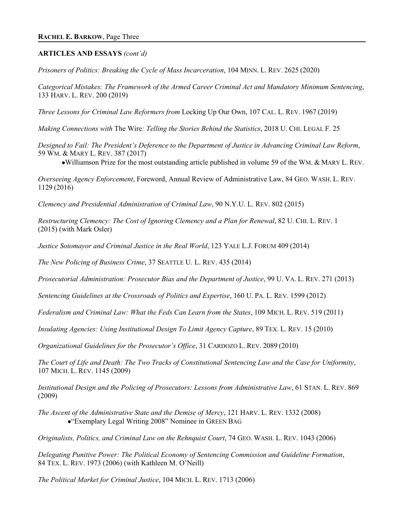### **ARTICLES AND ESSAYS** *(cont'd)*

*Prisoners of Politics: Breaking the Cycle of Mass Incarceration*, 104 MINN. L. REV. 2625 (2020)

*Categorical Mistakes: The Framework of the Armed Career Criminal Act and Mandatory Minimum Sentencing*, 133 HARV. L. REV. 200 (2019)

*Three Lessons for Criminal Law Reformers from* Locking Up Our Own, 107 CAL. L. REV. 1967 (2019)

*Making Connections with* The Wire*: Telling the Stories Behind the Statistics*, 2018 U. CHI. LEGAL F. 25

*Designed to Fail: The President's Deference to the Department of Justice in Advancing Criminal Law Reform*, 59 WM. & MARY L. REV. 387 (2017)

•Williamson Prize for the most outstanding article published in volume 59 of the WM. & MARY L. REV.

*Overseeing Agency Enforcement*, Foreword, Annual Review of Administrative Law, 84 GEO. WASH. L. REV. 1129 (2016)

*Clemency and Presidential Administration of Criminal Law*, 90 N.Y.U. L. REV. 802 (2015)

*Restructuring Clemency: The Cost of Ignoring Clemency and a Plan for Renewal*, 82 U. CHI. L. REV. 1 (2015) (with Mark Osler)

*Justice Sotomayor and Criminal Justice in the Real World*, 123 YALE L.J. FORUM 409 (2014)

*The New Policing of Business Crime*, 37 SEATTLE U. L. REV. 435 (2014)

*Prosecutorial Administration: Prosecutor Bias and the Department of Justice*, 99 U. VA. L. REV. 271 (2013)

*Sentencing Guidelines at the Crossroads of Politics and Expertise*, 160 U. PA. L. REV. 1599 (2012)

*Federalism and Criminal Law: What the Feds Can Learn from the States*, 109 MICH. L. REV. 519 (2011)

*Insulating Agencies: Using Institutional Design To Limit Agency Capture*, 89 TEX. L. REV. 15 (2010)

*Organizational Guidelines for the Prosecutor's Office*, 31 CARDOZO L. REV. 2089 (2010)

*The Court of Life and Death: The Two Tracks of Constitutional Sentencing Law and the Case for Uniformity*, 107 MICH. L. REV. 1145 (2009)

*Institutional Design and the Policing of Prosecutors: Lessons from Administrative Law*, 61 STAN. L. REV. 869 (2009)

*The Ascent of the Administrative State and the Demise of Mercy*, 121 HARV. L. REV. 1332 (2008) •"Exemplary Legal Writing 2008" Nominee in GREEN BAG

*Originalists, Politics, and Criminal Law on the Rehnquist Court*, 74 GEO. WASH. L. REV. 1043 (2006)

*Delegating Punitive Power: The Political Economy of Sentencing Commission and Guideline Formation*, 84 TEX. L. REV. 1973 (2006) (with Kathleen M. O'Neill)

*The Political Market for Criminal Justice*, 104 MICH. L. REV. 1713 (2006)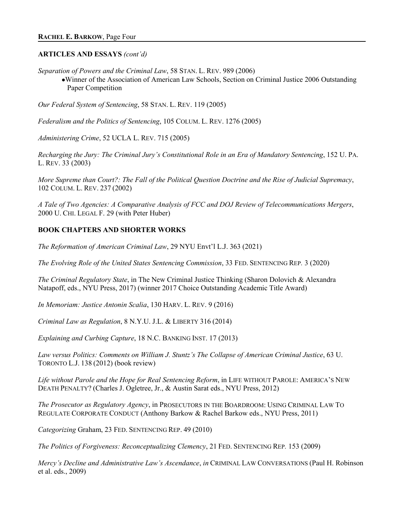### **ARTICLES AND ESSAYS** *(cont'd)*

*Separation of Powers and the Criminal Law*, 58 STAN. L. REV. 989 (2006)

•Winner of the Association of American Law Schools, Section on Criminal Justice 2006 Outstanding Paper Competition

*Our Federal System of Sentencing*, 58 STAN. L. REV. 119 (2005)

*Federalism and the Politics of Sentencing*, 105 COLUM. L. REV. 1276 (2005)

*Administering Crime*, 52 UCLA L. REV. 715 (2005)

*Recharging the Jury: The Criminal Jury's Constitutional Role in an Era of Mandatory Sentencing*, 152 U. PA. L. REV. 33 (2003)

*More Supreme than Court?: The Fall of the Political Question Doctrine and the Rise of Judicial Supremacy*, 102 COLUM. L. REV. 237 (2002)

*A Tale of Two Agencies: A Comparative Analysis of FCC and DOJ Review of Telecommunications Mergers*, 2000 U. CHI. LEGAL F. 29 (with Peter Huber)

## **BOOK CHAPTERS AND SHORTER WORKS**

*The Reformation of American Criminal Law*, 29 NYU Envt'l L.J. 363 (2021)

*The Evolving Role of the United States Sentencing Commission*, 33 FED. SENTENCING REP*.* 3 (2020)

*The Criminal Regulatory State*, in The New Criminal Justice Thinking (Sharon Dolovich & Alexandra Natapoff, eds., NYU Press, 2017) (winner 2017 Choice Outstanding Academic Title Award)

*In Memoriam: Justice Antonin Scalia*, 130 HARV. L. REV. 9 (2016)

*Criminal Law as Regulation*, 8 N.Y.U. J.L. & LIBERTY 316 (2014)

*Explaining and Curbing Capture*, 18 N.C. BANKING INST. 17 (2013)

*Law versus Politics: Comments on William J. Stuntz's The Collapse of American Criminal Justice*, 63 U. TORONTO L.J. 138 (2012) (book review)

*Life without Parole and the Hope for Real Sentencing Reform*, in LIFE WITHOUT PAROLE: AMERICA'S NEW DEATH PENALTY? (Charles J. Ogletree, Jr., & Austin Sarat eds., NYU Press, 2012)

*The Prosecutor as Regulatory Agency*, in PROSECUTORS IN THE BOARDROOM: USING CRIMINAL LAW TO REGULATE CORPORATE CONDUCT (Anthony Barkow & Rachel Barkow eds., NYU Press, 2011)

*Categorizing* Graham, 23 FED. SENTENCING REP. 49 (2010)

*The Politics of Forgiveness: Reconceptualizing Clemency*, 21 FED. SENTENCING REP*.* 153 (2009)

*Mercy's Decline and Administrative Law's Ascendance*, *in* CRIMINAL LAW CONVERSATIONS (Paul H. Robinson et al. eds., 2009)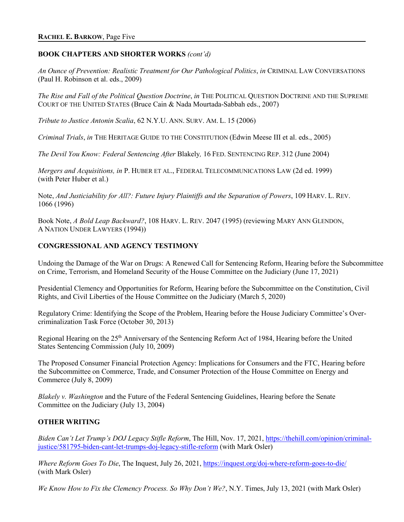### **BOOK CHAPTERS AND SHORTER WORKS** *(cont'd)*

*An Ounce of Prevention: Realistic Treatment for Our Pathological Politics*, *in* CRIMINAL LAW CONVERSATIONS (Paul H. Robinson et al. eds., 2009)

*The Rise and Fall of the Political Question Doctrine*, *in* THE POLITICAL QUESTION DOCTRINE AND THE SUPREME COURT OF THE UNITED STATES (Bruce Cain & Nada Mourtada-Sabbah eds., 2007)

*Tribute to Justice Antonin Scalia*, 62 N.Y.U. ANN. SURV. AM. L. 15 (2006)

*Criminal Trials*, *in* THE HERITAGE GUIDE TO THE CONSTITUTION (Edwin Meese III et al. eds., 2005)

*The Devil You Know: Federal Sentencing After* Blakely*,* 16 FED. SENTENCING REP. 312 (June 2004)

*Mergers and Acquisitions, in* P. HUBER ET AL., FEDERAL TELECOMMUNICATIONS LAW (2d ed. 1999) (with Peter Huber et al.)

Note, *And Justiciability for All?: Future Injury Plaintiffs and the Separation of Powers*, 109 HARV. L. REV. 1066 (1996)

Book Note, *A Bold Leap Backward?*, 108 HARV. L. REV. 2047 (1995) (reviewing MARY ANN GLENDON, A NATION UNDER LAWYERS (1994))

### **CONGRESSIONAL AND AGENCY TESTIMONY**

Undoing the Damage of the War on Drugs: A Renewed Call for Sentencing Reform, Hearing before the Subcommittee on Crime, Terrorism, and Homeland Security of the House Committee on the Judiciary (June 17, 2021)

Presidential Clemency and Opportunities for Reform, Hearing before the Subcommittee on the Constitution, Civil Rights, and Civil Liberties of the House Committee on the Judiciary (March 5, 2020)

Regulatory Crime: Identifying the Scope of the Problem, Hearing before the House Judiciary Committee's Overcriminalization Task Force (October 30, 2013)

Regional Hearing on the 25<sup>th</sup> Anniversary of the Sentencing Reform Act of 1984, Hearing before the United States Sentencing Commission (July 10, 2009)

The Proposed Consumer Financial Protection Agency: Implications for Consumers and the FTC, Hearing before the Subcommittee on Commerce, Trade, and Consumer Protection of the House Committee on Energy and Commerce (July 8, 2009)

*Blakely v. Washington* and the Future of the Federal Sentencing Guidelines, Hearing before the Senate Committee on the Judiciary (July 13, 2004)

### **OTHER WRITING**

*Biden Can't Let Trump's DOJ Legacy Stifle Reform*, The Hill, Nov. 17, 2021, [https://thehill.com/opinion/criminal](https://thehill.com/opinion/criminal-justice/581795-biden-cant-let-trumps-doj-legacy-stifle-reform)[justice/581795-biden-cant-let-trumps-doj-legacy-stifle-reform](https://thehill.com/opinion/criminal-justice/581795-biden-cant-let-trumps-doj-legacy-stifle-reform) (with Mark Osler)

*Where Reform Goes To Die*, The Inquest, July 26, 2021, https://inquest.org/doj-where-reform-goes-to-die/ (with Mark Osler)

*We Know How to Fix the Clemency Process. So Why Don't We?*, N.Y. Times, July 13, 2021 (with Mark Osler)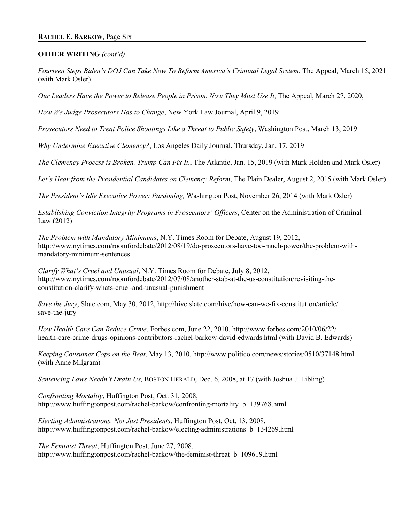#### **OTHER WRITING** *(cont'd)*

*Fourteen Steps Biden's DOJ Can Take Now To Reform America's Criminal Legal System*, The Appeal, March 15, 2021 (with Mark Osler)

*Our Leaders Have the Power to Release People in Prison. Now They Must Use It*, The Appeal, March 27, 2020,

*How We Judge Prosecutors Has to Change*, New York Law Journal, April 9, 2019

*Prosecutors Need to Treat Police Shootings Like a Threat to Public Safety*, Washington Post, March 13, 2019

*Why Undermine Executive Clemency?*, Los Angeles Daily Journal, Thursday, Jan. 17, 2019

*The Clemency Process is Broken. Trump Can Fix It.*, The Atlantic, Jan. 15, 2019 (with Mark Holden and Mark Osler)

*Let's Hear from the Presidential Candidates on Clemency Reform*, The Plain Dealer, August 2, 2015 (with Mark Osler)

*The President's Idle Executive Power: Pardoning,* Washington Post, November 26, 2014 (with Mark Osler)

*Establishing Conviction Integrity Programs in Prosecutors' Officers*, Center on the Administration of Criminal Law (2012)

*The Problem with Mandatory Minimums*, N.Y. Times Room for Debate, August 19, 2012, http://www.nytimes.com/roomfordebate/2012/08/19/do-prosecutors-have-too-much-power/the-problem-withmandatory-minimum-sentences

*Clarify What's Cruel and Unusual*, N.Y. Times Room for Debate, July 8, 2012, http://www.nytimes.com/roomfordebate/2012/07/08/another-stab-at-the-us-constitution/revisiting-theconstitution-clarify-whats-cruel-and-unusual-punishment

*Save the Jury*, Slate.com, May 30, 2012, http://hive.slate.com/hive/how-can-we-fix-constitution/article/ save-the-jury

*How Health Care Can Reduce Crime*, Forbes.com, June 22, 2010, http://www.forbes.com/2010/06/22/ health-care-crime-drugs-opinions-contributors-rachel-barkow-david-edwards.html (with David B. Edwards)

*Keeping Consumer Cops on the Beat*, May 13, 2010, http://www.politico.com/news/stories/0510/37148.html (with Anne Milgram)

*Sentencing Laws Needn't Drain Us,* BOSTON HERALD, Dec. 6, 2008, at 17 (with Joshua J. Libling)

*Confronting Mortality*, Huffington Post, Oct. 31, 2008, http://www.huffingtonpost.com/rachel-barkow/confronting-mortality\_b\_139768.html

*Electing Administrations, Not Just Presidents*, Huffington Post, Oct. 13, 2008, http://www.huffingtonpost.com/rachel-barkow/electing-administrations\_b\_134269.html

*The Feminist Threat*, Huffington Post, June 27, 2008, http://www.huffingtonpost.com/rachel-barkow/the-feminist-threat\_b\_109619.html